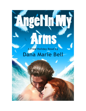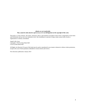## **eBooks are** *not* **transferable. They cannot be sold, shared or given away as it is an infringement on the copyright of this work.**

This book is a work of fiction. The names, characters, places, and incidents are products of the writer's imagination or have been used fictitiously and are not to be construed as real. Any resemblance to persons, living or dead, actual events, locale or organizations is entirely coincidental.

Angel In My Arms Copyright © 2014 by Dana Marie Bell Cover by Dana Marie Bell

All Rights Are Reserved. No part of this book may be used or reproduced in any manner whatsoever without written permission, except in the case of brief quotations embodied in critical articles and reviews.

First electronic publication: January 2014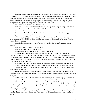He slipped into the shadows between two buildings and took off his coat and shirt. He allowed his true nature to take over, his wings glowing brightly before he slipped into invisibility. A Shem or a fellow Neph would be able to sense him if they tried hard enough, but he was completely masked to human senses, not even the glow of his wings lighting the walls of the alley. He spread his wings, the joy of flying free tainted by the knowledge that his wife was going to kill him.

No. First she'd kill Gabriel, *then* she'd kill him.

He landed on Gabriel's lawn five minutes late. He quickly folded away his wings and threw on his shirt as he dashed toward the door. Gabriel hated it when—

"You're late."

He winced as the leader of all the Nephilim, Gabriel Viator, turned to him, his strange, violet eyes brimming with frustration. "Sorry. This whole day is a mess."

"Tell me about it." Damien snorted and sipped his hot chocolate, all the while staring at his computer screen. "You'd think the Shem would give us a break on Christmas Eve, but nope. They just have to Grinch our asses."

Dante flicked a marshmallow at their brother. "It's not like they have office parties to go to, asshole."

Damien grinned. *"Va te faire foutre, trouduc."*

Dante grinned right back.*"Testa di cazzo."*

Gabriel sighed and pinched the bridge of his nose. "Children."

The scene was so damn familiar Seth couldn't help but smile. It seemed they started off every meeting with Gabriel the same way, Dante and Damien cursing each other good-naturedly while Gabriel tried to pretend that it bothered him. Everyone knew how much he loved the rapport between Dante and Damien. In every respect but blood, they were true brothers, right down to stealing each other's toys and fighting over the last piece of cake.

If anyone hurt Damien, Dante was there to give them the beating of a lifetime, and vice versa.

The two settled down, Damien returning to his computer and Dante to staring out the window.

"Seth, how is Abby?" Gabriel's violet gaze landed on him, snaring him in the odd depths of the angel's eyes. "Is she well?"

Seth thought about the sweet woman who'd given herself to him, body and soul. He was truly a lucky man. "She's fine, sir. Her ankles are a little swollen, but that's to be expected. Her doctor says she's doing fine."

"When is she due?" Dante turned away from the window, his tone full of eager joy. Dante came from a huge Italian family where each new member was greeted with delight.

"Soon." He didn't have the exact date memorized. He was just thrilled her pregnancy was coming along so easily, the baby happy and healthy. They'd already picked out names and had gotten the nursery set up, ready for the new addition. A little baby Nephilim he could love and nurture and train to someday take his place as one of Gabriel's warriors.

"We're looking forward to greeting him or her." Gabriel shot him a knowing look. They'd told him they didn't want to know the sex of the baby, and so far Gabriel, who obviously knew, had kept it secret.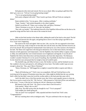Seth glanced at the clock and winced. Oh, he was *so* dead. Abby was going to geld him if he didn't get a move-on. "Tell me I'm not going hunting tonight."

"You're not going hunting tonight."

Seth nearly collapsed with relief. "Then I need to get home. Bill and Trish are coming for dinner."

Dante smirked at him. "Let me guess. Abby is making enchiladas."

"Nope. Tamales." Seth smiled sheepishly as the others laughed.

Gabriel waved him off. "Enjoy your evening, Seth, and Merry Christmas."

"Merry Christmas to you too, sir. Stay safe, my brothers."

"Stay safe, my brother." The traditional farewell of the Nephilim followed him out the door as he spread his wings and flew back to the arms of the woman he loved.

Abby set the final touches to her dinner table, rubbing the small of her back as she stood. The kid had his foot stuck between her ribs again, and getting him to move it was like trying to get Bill to eat liver. It just wasn't happening.

She stared at the clock and sighed. Seth was late. Like, way late. He was supposed to have been home over an hour ago, ready to help her set the table and cook the meal, but Abby had been forced to do all of it by herself. She just hoped her husband hadn't been held up by one of the monsters who hunted in the dark. The Shem were angel-born who had given themselves over to their baser desires, becoming demonic in both appearance and temperament. Like the Nephilim, they had the ability to appear as human as Abby, but underneath they were twisted monsters out of nightmares and legends. It was the job of Nephilim like Seth to hunt them down and keep humanity safe from their depravities. The Shemyaza wouldn't consider Christmas Eve to be sacred. If anything, they'd probably do their best to desecrate it. So she closed her eyes and prayed that for tonight at least all would be quiet.

The doorbell rang, and Abby let loose a curse. Her brother was here, and her husband was not. She waddled to the door and opened it, still rubbing her lower back. This kidlet couldn't pop out soon enough to please her. "Hey, guys! Merry Christmas!"

"Merry Christmas, sis." Bill hugged her so tightly it caused the kidlet to squirm and Abby to gasp.

"Back still bothering you?" Trish's tone was sympathetic. Bill and Trish had been on the receiving end of her groans of frustration more than once. Abby might be thrilled that she was carrying Seth's child, but that didn't mean she loved the swollen ankles or the back pain that came with it.

And if she didn't have a first floor powder room, they'd have some ungodly messes to clean up. She'd never peed so much in her life. "Oh, God yes." Abby groaned as Trish took off her coat and hung it in the closet. "I swear, if this kid isn't kicking my ribs he's dancing on my bladder."

Bill shared a look with Trish. "Ah. Guess we have that to look forward to."

Trish snarled. "What's this we shit?"

Abby froze. Was Bill saying what she thought he was? "You're pregnant?"

Trish nodded, her cheeks going red.

"Oh, my God! You're pregnant!" Abby squealed and threw herself into Trish's arms. "Congratulations!"

Bill was watching them with an indulgent smile. "We just confirmed it like two days ago."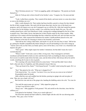"Best Christmas present ever." Trish was giggling, giddy with happiness. "My parents are beside themselves."

Abby let Trish go only to throw herself in her brother's arms. "Congrats, bro. Do mom and dad know?"

"Yeah, I called them yesterday. They wanted all the details, and mom insists we come down there as soon as the holidays are over."

Abby's smile dimmed a bit. Their mother had been horribly scarred in a house fire that claimed the life of their younger brother. She rarely left the house these days, but her view of the beach was gorgeous, and in all respects save one she'd managed to go on with her life. Abby had wanted her parents to come to her for the holidays, but they couldn't, nor could they host the family this year. The cold weather played havoc with Carol Marcheson's body, causing nerve endings damaged by the fire to flare in painful ways. Their father, Kevin, had taken her to their Florida condo for the winter months. Abby would have to be content with the knowledge that they wished her and Seth well, and visit them once her baby had been born. Abby respected the limitations her mother's health problems placed on her, and didn't blame her in the least for choosing to remain in her beautiful, warm home.

"Dad told me she's doing a little better, and maybe we can all visit once they're back." Bill let her go, patting her shoulder sympathetically before taking his coat off and handing it to his wife to hang up. "And he said to tell you that when you finally spawn, mom will be there, even if she's in a wheelchair and doped to the gills."

"That's good." Abby might respect her mother's limitations, but that didn't mean she wasn't worried about her.

"Where's Seth?" Trish took a seat in Abby's living room. They'd managed to sell Seth's townhouse and had decided to hold on to hers until the house Seth was building for them was finished. He'd sworn it would be ready before the baby came, and she believed him. Seth always did as he said he would, something she'd come to rely on greatly.

"He's meeting with some friends before he comes home." Trish and Ben didn't know about Seth's other job, that of a Nephilim, and Abby planned to keep it that way.

"That cop friend of his, Dante?" Trish fanned herself. "I wouldn't mind seeing him again. He's *so* hot."

"Hey!" Ben glared at his wife. "What am I, chopped liver?"

Trish stared at him. "Aw, sweetie. You know I love you, but can you croon at me in Italian?" He grumbled under his breath.

Abby rolled her eyes and waddled into the kitchen, pouring two ginger ales and one glass of wine. "Ben, give me a hand, will you?"

Ben took the wine and one of the ginger ales, handing the bubbling soda to his wife. "No wine for you."

"Not until the spawn pops out, anyway." Abby sipped her ginger ale.

"At least I can still have coffee."

"Decaf, sure." Abby giggled as Trish groaned. "Oh, and careful on the chocolate, since that has caffeine in it."

Trish glared at her husband. "I hate you so much right now."

The front door opened and Seth walked in, cheeks bright with the cold. He was shivering under his parka. "Hey, guys, sorry I'm late."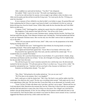Abby waddled over and took his briefcase. "You flew?" she whispered.

He nodded. "Didn't want to be too late." His teeth were beginning to chatter.

It was far too cold out there for anyone, even an angel, to go without a shirt, let alone a coat. Abby took his parka and shoved him toward the living room. "Go warm up by the fire. I'll bring you some hot chocolate."

It was a measure of how chilled he was that he didn't even bother to argue. He greeted Ben and Trish, explaining that he'd been so eager to get home he hadn't even bothered to let the car warm up before driving away from his friend's house. While Abby made the hot chocolate Ben and Trish filled Seth in on their news.

"Congrats, Trish!" Seth hugged her, making her squeal when his cold hands touched her skin. Ben laughed as Trish started to beat Seth off of her. "Get off my wife, Frosty."

"Oh, good idea." Abby put on some Christmas music, starting with her favorite, Nat King Cole. Seth had asked that she play Trans Siberian Orchestra and, God help her, Trish had emailed and told her to pick up Chipmunk Christmas music. Ben was the only one who didn't seem to have an opinion one way or the other.

"When will your parents and Eli be here, Seth?" Abby went over the preparations in her head, hoping her timing wasn't off.

"They should be here soon." Seth hugged her from behind, his freezing hands covering her protruding stomach. "Piotr said he might stop in as well."

Abby sighed and leaned back against him. "Good. Most of our family will be here, then."

He pressed his face against the side of her neck, and she could feel his content sigh. "It's so wonderful that you consider Piotr family."

"Of course. He's your best friend and one of your brothers. It's a given that he's family, along with Dante and Damien and the rest of them." In fact, she'd thought of inviting all of his Neph brothers, but she just didn't have the room.

The soft kiss he gave her wasn't remotely marred by how cold his lips were. He shivered and reached for the hot chocolate. "I'll call mom and see if they're on their way. You go sit for a while." He turned her and patted her rear. "And don't tell me your back is fine, because we both know it's not."

Someone was feeling better already. "Yes, dear."

"Hey, Mom." Seth grinned as his mother picked up. "Are you on your way?"

"We'll be there in ten minutes. How's my daughter?"

Seth's smile got so wide his cheeks hurt. "She's fine. Her back is sore and her ankles look like cantaloupes, but otherwise she's good. The doc says everything looks normal." Seth made sure he was at every appointment Abby had. The first time they'd seen their baby on an ultrasound, he'd actually cried.

"Good. Tell her I'll help with dinner once I get there, and she's not to argue." Marian and Joe van Licht had adored Abby Marcheson the moment they met her. When they'd discovered she was pregnant and that Seth had asked her to marry him, they'd been over the moon. Now Abigail van Licht had two mothers who got along famously. In fact, he was willing to bet his parents would make the time to visit Carol and Kevin. Now that his father was retired it was easier for them to move around. In fact, Carol had suggested that Marion and Joe buy a little condo near their own.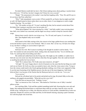No doubt Marion would talk Joe into it. She'd been making noises about getting a vacation home for a while now. "I'll tell her, but don't imagine she'll listen for even a second."

"Hmph." The amusement in his mother's tone had him laughing softly. "Fine. Oh, and Eli says to let you know that Piotr called him."

"Why?" Seth immediately went on alert. If Piotr needed Eli, an Oracle, then he might need Seth as well. All Neph hunted in threes unless there was no other choice. It was dangerous to send a single Nephilim hunting. "Do you think—"

"No." His mother cut him off. "It wasn't anything like that, but he seemed worried about Piotr. He thinks Piotr is going to need him soon, but not quite yet."

"What about Raphael? He's been missing for a while." And Seth couldn't stop worrying about him. Hell, even Gabriel was concerned, and the angel was always careful to keep his concerns under wraps.

Marion knew exactly what he was trying to say. "No. Eli said, and I quote, it's not time yet." Shit. Then Raphael really *was* in trouble.

"Seth?"

Seth turned to find Abby staring at him, the concern in her huge, golden-brown eyes sending him across the kitchen to press a kiss to her forehead. "Shh. It's mom. She's on her way. Eli had a few things to say, but there's nothing we can do about it right now."

"Are you sure?"

Seth knew his wife. She'd cancel everything if she thought he needed to aid his family. "I'm sure." He reached out and caressed her cheek, smiling when she leaned into him. "Go sit with Ben and Trish. Try and keep them from killing each other."

She smiled and walked back into the living room. She might say she waddled, or waded, but to Seth she was even sexier now than she had been when they first got together. How she could see herself as anything but perfect he'd never know.

"Seth? We're almost there. We'll talk some more tomorrow, all right?"

"All right." He wasn't happy about it, but he'd learned over the years that the last thing you could rush was an Oracle. He'd tell you what you needed to know only when the vision came to him. Trying to force the visions could result in the Oracle getting absolutely nothing, even if they were supposed to help. It was the most frustrating of the Nephilim powers, but also one of the most dangerous. Seth firmly believed that it was because of the Oracles that the Shemyaza had yet to win the war. "Love you."

"Love you too."

Seth put his cell phone back in his pocket and picked up his mug. He joined Abby on the sofa, smiling as she giggled uncontrollably. "What did you do to my wife?"

Trish shot him an innocent look. "Nothing, I swear."

"She's as innocent as New York snow." Ben ducked as Trish threw one of Abby's tasseled pillows at him.

Just watching Abby, Trish and Ben soothed something inside Seth. Knowing they were safe and happy, that nothing had harmed them or could harm them while he was there, kept the worry over his friends at bay. Seeing the joy in Abby, the affection and love in Trish and Ben, reminded him of what was important. Despite his concern over Rafe and Piotr, he felt himself relaxing, enjoying a quiet Christmas Eve with the people who loved him.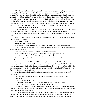When his parents finally arrived, blowing in with even more laughter, more hugs, and an extra helping of joy, his evening was complete. Eli, who he hadn't seen in months, couldn't get over how pregnant Abby was, how happy Seth's life had become. Eli had been on assignment when Seth and Abby got married by Gabriel and hadn't yet met her. She was so different from Fiona. Fiona had been cool, collected, warm only to those most intimate with her. Abby loved on everyone equally, to the point that Seth had to bite his tongue. And he did, because the things that had happened in her past should have made her a recluse, terrified of her own shadow. Instead, her strength and determination not to allow her abusive ex-boyfriend to win had allowed her to overcome her fears and remain a loving person.

Seth was so proud of her he could burst.

Still, he understood Eli's surprise at the way Abby greeted him, hugging him like they were longlost friends. Soon she had even Eli, who tended to hold himself back, laughing along with her.

When the doorbell rang Seth answered, knowing who was on the other side. "*Zdravstvuyte , moy brat.*"

Piotr's glacial gray eyes warmed instantly. "*Zdravstvuyte , moy brat.*" The two embraced, Seth pounding Piotr on the back.

Piotr hissed. "Careful."

Seth pulled back. "You all right?"

Piotr winced. "A Shem Azar got me." His expression became evil. "But I got him better."

"Good." Seth was more careful as he led Piotr into the house. "Everyone, I'd like you to meet my best friend, Piotr Romanov."

Trish and Ben went wide-eyed, but Seth's family didn't bat an eye.

Piotr bowed slightly, bringing out the old world charm. "*Svetlym Rozhdestvom.*"

Trish shivered and leaned toward Ben. "Forget Italian. Learn Russian."

Everyone laughed. Even Piotr smirked as he bowed specifically to Trish. "You've met Dante Zucco?"

She nodded and stood. "Oh, yeah." Without thought, Trish took hold of Piotr's hand and dragged the startled man into the room, forcing him to become part of the group. That was Trish's charm. She never gave a thought to the fact that she was pushing a bazillionare down on Abby's sofa, or grilling him like a cheeseburger, or draping herself over him to reply to something Ben had said. To Trish, Piotr was family, so she treated him accordingly.

From the occasional glimpse of his friend's face that Seth got, Piotr was enjoying himself immensely.

Abby slid next to him, cuddling up against him. "He seems to be having a good time." "Mm-hmm."

"Think we should get him drunk?"

Seth laughed. "Good luck with that. The man drinks premium vodka like it's water."

"Darn." Abby pouted. "I wanted to see him do the bunny hop."

Seth caught Piotr's amused glance before Piotr's attention was diverted by Marian, who dragged the confused man into the kitchen and began ordering him around as if he were one of her own sons. "I'd love to see him do the chicken dance."

"I told you we should have had a reception. It would have been worth it just to see that." Abby giggled. "Oh, Gangam Style!" She began to wiggle her hips, tempting him despite the room full of people. God, he couldn't wait until everyone left and he could get her under him, naked and panting.